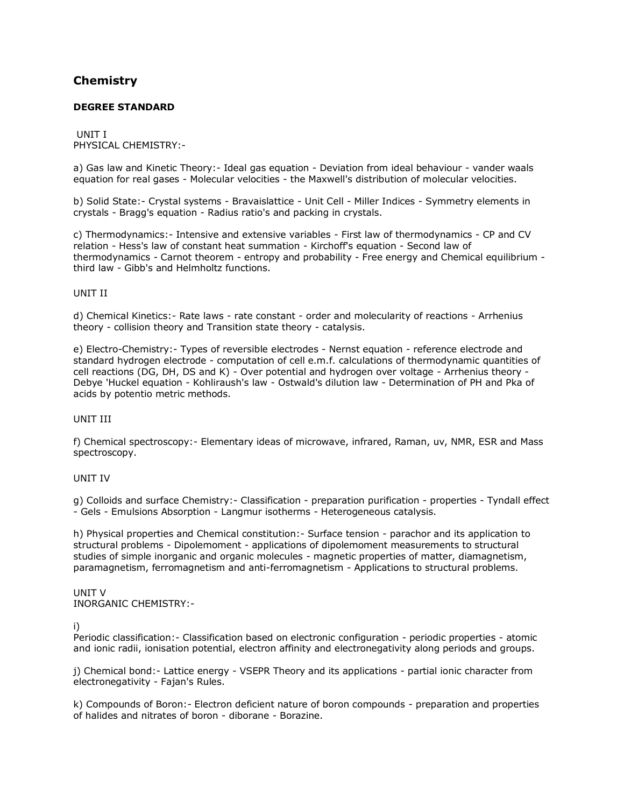# **[Chemistry](http://www.tnpsc.gov.in/Syllabus/Chemistryde.html)**

# **DEGREE STANDARD**

UNIT I PHYSICAL CHEMISTRY:-

a) Gas law and Kinetic Theory:- Ideal gas equation - Deviation from ideal behaviour - vander waals equation for real gases - Molecular velocities - the Maxwell's distribution of molecular velocities.

b) Solid State:- Crystal systems - Bravaislattice - Unit Cell - Miller Indices - Symmetry elements in crystals - Bragg's equation - Radius ratio's and packing in crystals.

c) Thermodynamics:- Intensive and extensive variables - First law of thermodynamics - CP and CV relation - Hess's law of constant heat summation - Kirchoff's equation - Second law of thermodynamics - Carnot theorem - entropy and probability - Free energy and Chemical equilibrium third law - Gibb's and Helmholtz functions.

# UNIT II

d) Chemical Kinetics:- Rate laws - rate constant - order and molecularity of reactions - Arrhenius theory - collision theory and Transition state theory - catalysis.

e) Electro-Chemistry:- Types of reversible electrodes - Nernst equation - reference electrode and standard hydrogen electrode - computation of cell e.m.f. calculations of thermodynamic quantities of cell reactions (DG, DH, DS and K) - Over potential and hydrogen over voltage - Arrhenius theory - Debye 'Huckel equation - Kohliraush's law - Ostwald's dilution law - Determination of PH and Pka of acids by potentio metric methods.

#### UNIT III

f) Chemical spectroscopy:- Elementary ideas of microwave, infrared, Raman, uv, NMR, ESR and Mass spectroscopy.

### UNIT IV

g) Colloids and surface Chemistry:- Classification - preparation purification - properties - Tyndall effect - Gels - Emulsions Absorption - Langmur isotherms - Heterogeneous catalysis.

h) Physical properties and Chemical constitution:- Surface tension - parachor and its application to structural problems - Dipolemoment - applications of dipolemoment measurements to structural studies of simple inorganic and organic molecules - magnetic properties of matter, diamagnetism, paramagnetism, ferromagnetism and anti-ferromagnetism - Applications to structural problems.

# UNIT V INORGANIC CHEMISTRY:-

i)

Periodic classification:- Classification based on electronic configuration - periodic properties - atomic and ionic radii, ionisation potential, electron affinity and electronegativity along periods and groups.

j) Chemical bond:- Lattice energy - VSEPR Theory and its applications - partial ionic character from electronegativity - Fajan's Rules.

k) Compounds of Boron:- Electron deficient nature of boron compounds - preparation and properties of halides and nitrates of boron - diborane - Borazine.